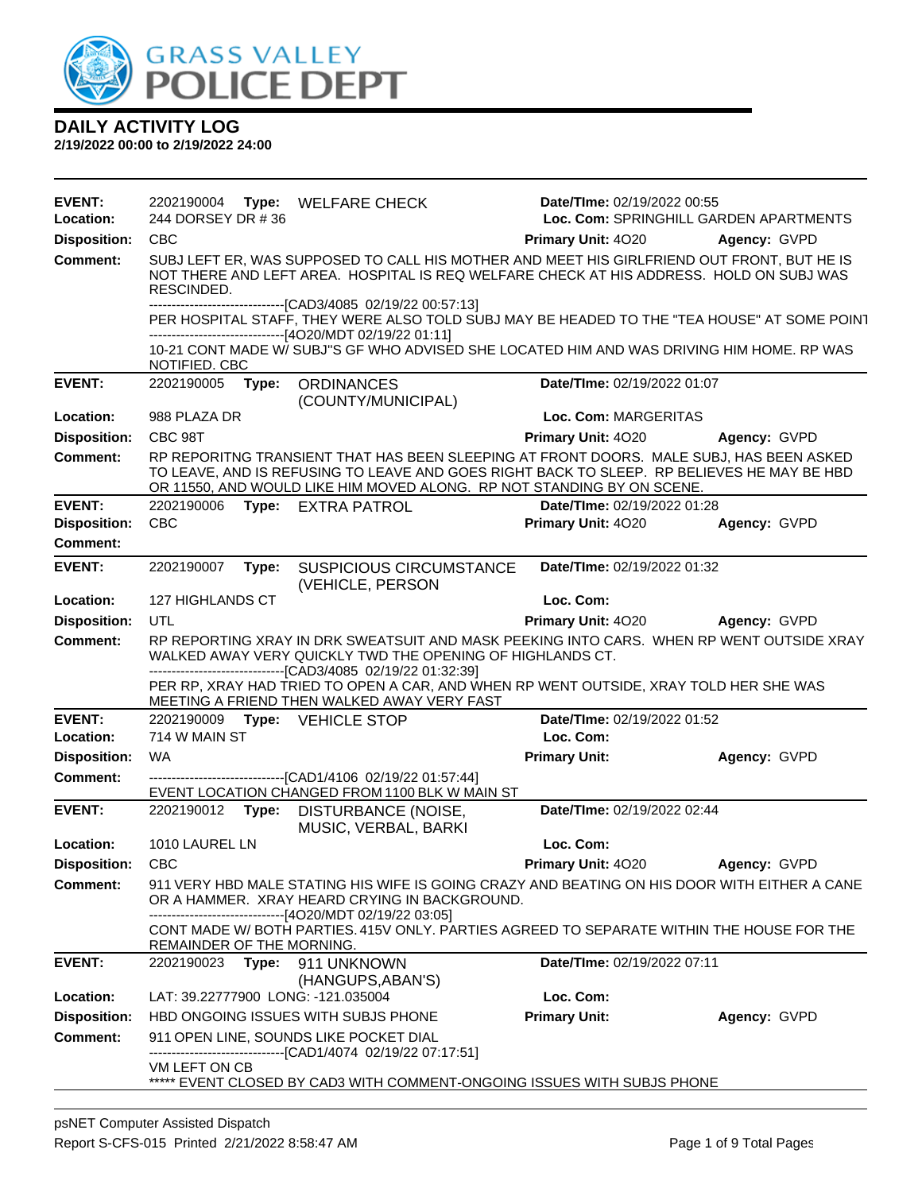

| <b>EVENT:</b><br>Location:             | 244 DORSEY DR #36           |       | 2202190004 Type: WELFARE CHECK                                                                                                                                                                                                                                                                                 | Date/TIme: 02/19/2022 00:55              | Loc. Com: SPRINGHILL GARDEN APARTMENTS |
|----------------------------------------|-----------------------------|-------|----------------------------------------------------------------------------------------------------------------------------------------------------------------------------------------------------------------------------------------------------------------------------------------------------------------|------------------------------------------|----------------------------------------|
| <b>Disposition:</b>                    | <b>CBC</b>                  |       |                                                                                                                                                                                                                                                                                                                | Primary Unit: 4020                       | Agency: GVPD                           |
| <b>Comment:</b>                        | RESCINDED.                  |       | SUBJ LEFT ER, WAS SUPPOSED TO CALL HIS MOTHER AND MEET HIS GIRLFRIEND OUT FRONT, BUT HE IS<br>NOT THERE AND LEFT AREA. HOSPITAL IS REQ WELFARE CHECK AT HIS ADDRESS. HOLD ON SUBJ WAS                                                                                                                          |                                          |                                        |
|                                        |                             |       | -------------------------------[CAD3/4085 02/19/22 00:57:13]<br>PER HOSPITAL STAFF, THEY WERE ALSO TOLD SUBJ MAY BE HEADED TO THE "TEA HOUSE" AT SOME POINT<br>------------------[4O20/MDT 02/19/22 01:11]                                                                                                     |                                          |                                        |
|                                        | NOTIFIED. CBC               |       | 10-21 CONT MADE W/ SUBJ"S GF WHO ADVISED SHE LOCATED HIM AND WAS DRIVING HIM HOME. RP WAS                                                                                                                                                                                                                      |                                          |                                        |
| <b>EVENT:</b>                          | 2202190005                  | Type: | <b>ORDINANCES</b><br>(COUNTY/MUNICIPAL)                                                                                                                                                                                                                                                                        | Date/TIme: 02/19/2022 01:07              |                                        |
| Location:                              | 988 PLAZA DR                |       |                                                                                                                                                                                                                                                                                                                | Loc. Com: MARGERITAS                     |                                        |
| <b>Disposition:</b>                    | CBC 98T                     |       |                                                                                                                                                                                                                                                                                                                | Primary Unit: 4020                       | Agency: GVPD                           |
| <b>Comment:</b>                        |                             |       | RP REPORITNG TRANSIENT THAT HAS BEEN SLEEPING AT FRONT DOORS. MALE SUBJ, HAS BEEN ASKED<br>TO LEAVE, AND IS REFUSING TO LEAVE AND GOES RIGHT BACK TO SLEEP. RP BELIEVES HE MAY BE HBD<br>OR 11550, AND WOULD LIKE HIM MOVED ALONG. RP NOT STANDING BY ON SCENE.                                                |                                          |                                        |
| <b>EVENT:</b>                          | 2202190006                  |       | Type: EXTRA PATROL                                                                                                                                                                                                                                                                                             | Date/TIme: 02/19/2022 01:28              |                                        |
| <b>Disposition:</b>                    | <b>CBC</b>                  |       |                                                                                                                                                                                                                                                                                                                | Primary Unit: 4020                       | Agency: GVPD                           |
| <b>Comment:</b>                        |                             |       |                                                                                                                                                                                                                                                                                                                |                                          |                                        |
| <b>EVENT:</b>                          | 2202190007                  | Type: | <b>SUSPICIOUS CIRCUMSTANCE</b><br>(VEHICLE, PERSON                                                                                                                                                                                                                                                             | Date/TIme: 02/19/2022 01:32              |                                        |
| Location:                              | 127 HIGHLANDS CT            |       |                                                                                                                                                                                                                                                                                                                | Loc. Com:                                |                                        |
| <b>Disposition:</b>                    | UTL                         |       |                                                                                                                                                                                                                                                                                                                | <b>Primary Unit: 4020</b>                | Agency: GVPD                           |
| <b>Comment:</b>                        |                             |       | RP REPORTING XRAY IN DRK SWEATSUIT AND MASK PEEKING INTO CARS. WHEN RP WENT OUTSIDE XRAY<br>WALKED AWAY VERY QUICKLY TWD THE OPENING OF HIGHLANDS CT.<br>-------------------------------[CAD3/4085 02/19/22 01:32:39]<br>PER RP, XRAY HAD TRIED TO OPEN A CAR, AND WHEN RP WENT OUTSIDE, XRAY TOLD HER SHE WAS |                                          |                                        |
|                                        |                             |       | MEETING A FRIEND THEN WALKED AWAY VERY FAST                                                                                                                                                                                                                                                                    |                                          |                                        |
| <b>EVENT:</b><br>Location:             | 2202190009<br>714 W MAIN ST |       | Type: VEHICLE STOP                                                                                                                                                                                                                                                                                             | Date/TIme: 02/19/2022 01:52<br>Loc. Com: |                                        |
|                                        | <b>WA</b>                   |       |                                                                                                                                                                                                                                                                                                                |                                          |                                        |
| <b>Disposition:</b><br><b>Comment:</b> |                             |       |                                                                                                                                                                                                                                                                                                                | <b>Primary Unit:</b>                     | Agency: GVPD                           |
|                                        |                             |       | -------------------------------[CAD1/4106 02/19/22 01:57:44]<br>EVENT LOCATION CHANGED FROM 1100 BLK W MAIN ST                                                                                                                                                                                                 |                                          |                                        |
| <b>EVENT:</b>                          | 2202190012 Type:            |       | DISTURBANCE (NOISE,<br>MUSIC, VERBAL, BARKI                                                                                                                                                                                                                                                                    | Date/TIme: 02/19/2022 02:44              |                                        |
| Location:                              | 1010 LAUREL LN              |       |                                                                                                                                                                                                                                                                                                                | Loc. Com:                                |                                        |
| <b>Disposition:</b>                    | <b>CBC</b>                  |       |                                                                                                                                                                                                                                                                                                                | <b>Primary Unit: 4020</b>                | Agency: GVPD                           |
| Comment:                               |                             |       | 911 VERY HBD MALE STATING HIS WIFE IS GOING CRAZY AND BEATING ON HIS DOOR WITH EITHER A CANE<br>OR A HAMMER. XRAY HEARD CRYING IN BACKGROUND.<br>-------------------------------[4O20/MDT 02/19/22 03:05]                                                                                                      |                                          |                                        |
|                                        | REMAINDER OF THE MORNING.   |       | CONT MADE W/BOTH PARTIES. 415V ONLY. PARTIES AGREED TO SEPARATE WITHIN THE HOUSE FOR THE                                                                                                                                                                                                                       |                                          |                                        |
| <b>EVENT:</b>                          | 2202190023                  | Type: | 911 UNKNOWN<br>(HANGUPS, ABAN'S)                                                                                                                                                                                                                                                                               | <b>Date/Time: 02/19/2022 07:11</b>       |                                        |
| Location:                              |                             |       | LAT: 39.22777900 LONG: -121.035004                                                                                                                                                                                                                                                                             | Loc. Com:                                |                                        |
| <b>Disposition:</b>                    |                             |       | HBD ONGOING ISSUES WITH SUBJS PHONE                                                                                                                                                                                                                                                                            | <b>Primary Unit:</b>                     | Agency: GVPD                           |
| <b>Comment:</b>                        |                             |       | 911 OPEN LINE, SOUNDS LIKE POCKET DIAL<br>------------------------[CAD1/4074_02/19/22 07:17:51]                                                                                                                                                                                                                |                                          |                                        |
|                                        | VM LEFT ON CB               |       | ***** EVENT CLOSED BY CAD3 WITH COMMENT-ONGOING ISSUES WITH SUBJS PHONE                                                                                                                                                                                                                                        |                                          |                                        |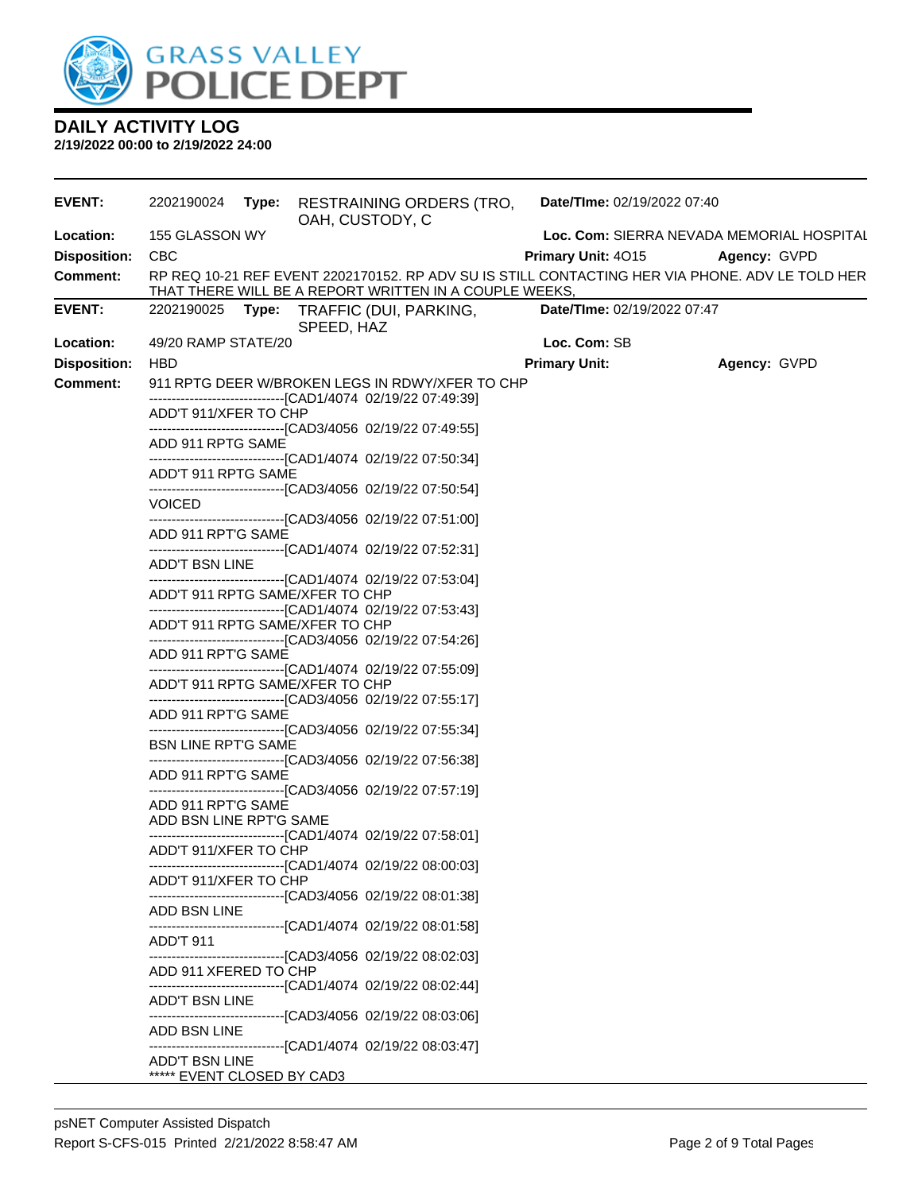

| <b>EVENT:</b>       | 2202190024 Type:                | OAH, CUSTODY, C | RESTRAINING ORDERS (TRO,                                       | Date/TIme: 02/19/2022 07:40 |                                                                                                 |
|---------------------|---------------------------------|-----------------|----------------------------------------------------------------|-----------------------------|-------------------------------------------------------------------------------------------------|
| Location:           | 155 GLASSON WY                  |                 |                                                                |                             | Loc. Com: SIERRA NEVADA MEMORIAL HOSPITAL                                                       |
| <b>Disposition:</b> | <b>CBC</b>                      |                 |                                                                | <b>Primary Unit: 4015</b>   | <b>Agency: GVPD</b>                                                                             |
| <b>Comment:</b>     |                                 |                 | THAT THERE WILL BE A REPORT WRITTEN IN A COUPLE WEEKS,         |                             | RP REQ 10-21 REF EVENT 2202170152. RP ADV SU IS STILL CONTACTING HER VIA PHONE. ADV LE TOLD HER |
| <b>EVENT:</b>       |                                 | SPEED, HAZ      | 2202190025 Type: TRAFFIC (DUI, PARKING,                        | Date/TIme: 02/19/2022 07:47 |                                                                                                 |
| Location:           | 49/20 RAMP STATE/20             |                 |                                                                | Loc. Com: SB                |                                                                                                 |
| <b>Disposition:</b> | <b>HBD</b>                      |                 |                                                                | <b>Primary Unit:</b>        | Agency: GVPD                                                                                    |
| <b>Comment:</b>     |                                 |                 | 911 RPTG DEER W/BROKEN LEGS IN RDWY/XFER TO CHP                |                             |                                                                                                 |
|                     | ADD'T 911/XFER TO CHP           |                 | -------------------------------[CAD1/4074_02/19/22 07:49:39]   |                             |                                                                                                 |
|                     |                                 |                 | -------------------------------[CAD3/4056 02/19/22 07:49:55]   |                             |                                                                                                 |
|                     | ADD 911 RPTG SAME               |                 |                                                                |                             |                                                                                                 |
|                     | ADD'T 911 RPTG SAME             |                 | ------------------------------[CAD1/4074_02/19/22 07:50:34]    |                             |                                                                                                 |
|                     |                                 |                 | ------------------------------[CAD3/4056  02/19/22 07:50:54]   |                             |                                                                                                 |
|                     | <b>VOICED</b>                   |                 | -------------------------------[CAD3/4056 02/19/22 07:51:00]   |                             |                                                                                                 |
|                     | ADD 911 RPT'G SAME              |                 |                                                                |                             |                                                                                                 |
|                     | ADD'T BSN LINE                  |                 | -------------------------------[CAD1/4074_02/19/22 07:52:31]   |                             |                                                                                                 |
|                     |                                 |                 | ------------------------------[CAD1/4074_02/19/22 07:53:04]    |                             |                                                                                                 |
|                     | ADD'T 911 RPTG SAME/XFER TO CHP |                 |                                                                |                             |                                                                                                 |
|                     | ADD'T 911 RPTG SAME/XFER TO CHP |                 | ---------------------------------[CAD1/4074 02/19/22 07:53:43] |                             |                                                                                                 |
|                     |                                 |                 | -------------------------------[CAD3/4056  02/19/22 07:54:26]  |                             |                                                                                                 |
|                     | ADD 911 RPT'G SAME              |                 | ------------------------------[CAD1/4074_02/19/22 07:55:09]    |                             |                                                                                                 |
|                     | ADD'T 911 RPTG SAME/XFER TO CHP |                 |                                                                |                             |                                                                                                 |
|                     |                                 |                 | -------------------------------[CAD3/4056 02/19/22 07:55:17]   |                             |                                                                                                 |
|                     | ADD 911 RPT'G SAME              |                 | -------------------------------[CAD3/4056_02/19/22 07:55:34]   |                             |                                                                                                 |
|                     | <b>BSN LINE RPT'G SAME</b>      |                 |                                                                |                             |                                                                                                 |
|                     | ADD 911 RPT'G SAME              |                 | ------------------------------[CAD3/4056  02/19/22 07:56:38]   |                             |                                                                                                 |
|                     |                                 |                 | --------------------------------[CAD3/4056 02/19/22 07:57:19]  |                             |                                                                                                 |
|                     | ADD 911 RPT'G SAME              |                 |                                                                |                             |                                                                                                 |
|                     | ADD BSN LINE RPT'G SAME         |                 | -------------------------------[CAD1/4074 02/19/22 07:58:01]   |                             |                                                                                                 |
|                     | ADD'T 911/XFER TO CHP           |                 |                                                                |                             |                                                                                                 |
|                     | ADD'T 911/XFER TO CHP           |                 | --------------------[CAD1/4074 02/19/22 08:00:03]              |                             |                                                                                                 |
|                     |                                 |                 | ------------------------------[CAD3/4056 02/19/22 08:01:38]    |                             |                                                                                                 |
|                     | ADD BSN LINE                    |                 | ------------------------------[CAD1/4074 02/19/22 08:01:58]    |                             |                                                                                                 |
|                     | ADD'T 911                       |                 |                                                                |                             |                                                                                                 |
|                     |                                 |                 | ------------------------------[CAD3/4056 02/19/22 08:02:03]    |                             |                                                                                                 |
|                     | ADD 911 XFERED TO CHP           |                 | ------------------------------[CAD1/4074_02/19/22_08:02:44]    |                             |                                                                                                 |
|                     | <b>ADD'T BSN LINE</b>           |                 |                                                                |                             |                                                                                                 |
|                     | ADD BSN LINE                    |                 | ------------------------------[CAD3/4056 02/19/22 08:03:06]    |                             |                                                                                                 |
|                     |                                 |                 | ------------------------------[CAD1/4074 02/19/22 08:03:47]    |                             |                                                                                                 |
|                     | ADD'T BSN LINE                  |                 |                                                                |                             |                                                                                                 |
|                     | ***** EVENT CLOSED BY CAD3      |                 |                                                                |                             |                                                                                                 |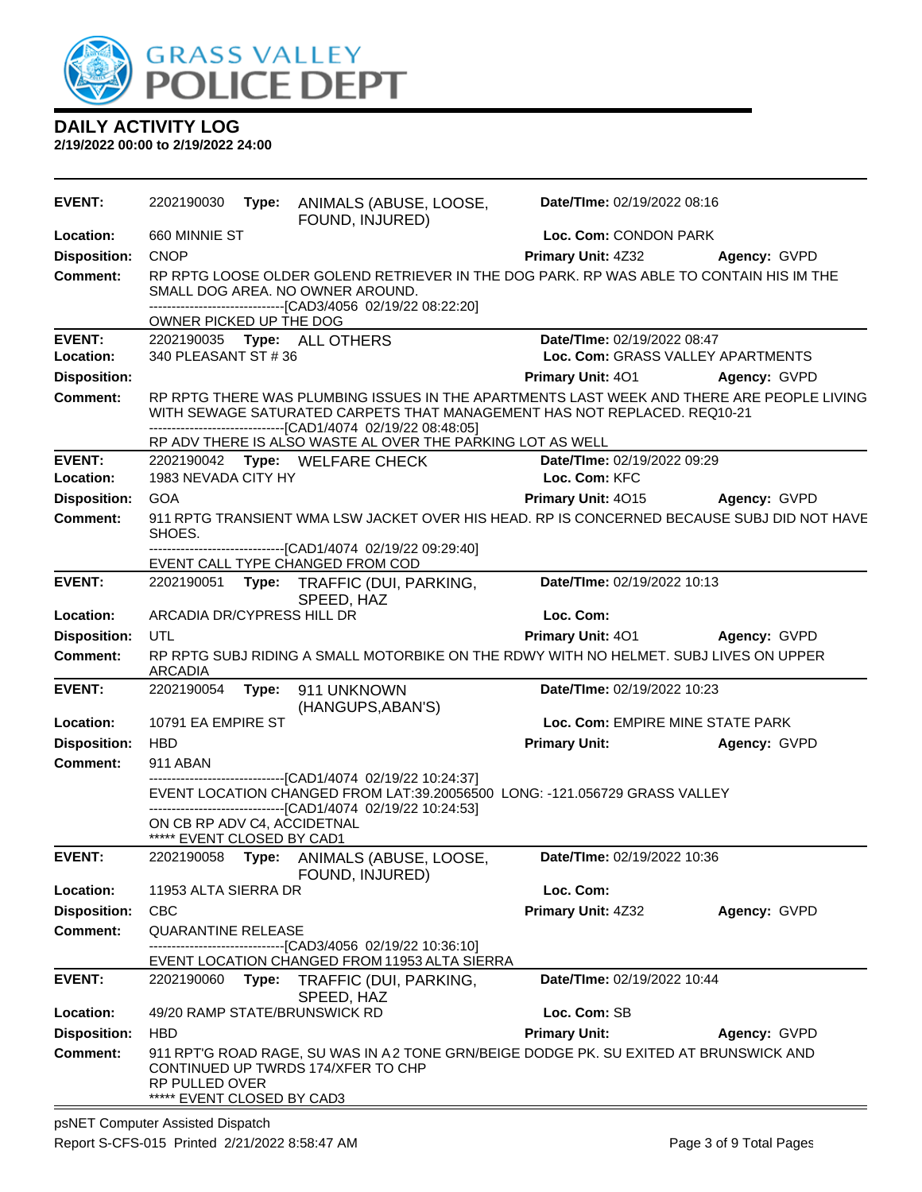

| <b>EVENT:</b>       | 2202190030                                                                                                                                                                                                                            |       | Type: ANIMALS (ABUSE, LOOSE,<br>FOUND, INJURED)                                                                                                                                             | Date/TIme: 02/19/2022 08:16       |              |  |
|---------------------|---------------------------------------------------------------------------------------------------------------------------------------------------------------------------------------------------------------------------------------|-------|---------------------------------------------------------------------------------------------------------------------------------------------------------------------------------------------|-----------------------------------|--------------|--|
| Location:           | 660 MINNIE ST                                                                                                                                                                                                                         |       |                                                                                                                                                                                             | Loc. Com: CONDON PARK             |              |  |
| <b>Disposition:</b> | <b>CNOP</b>                                                                                                                                                                                                                           |       |                                                                                                                                                                                             | <b>Primary Unit: 4Z32</b>         | Agency: GVPD |  |
| <b>Comment:</b>     |                                                                                                                                                                                                                                       |       | RP RPTG LOOSE OLDER GOLEND RETRIEVER IN THE DOG PARK. RP WAS ABLE TO CONTAIN HIS IM THE<br>SMALL DOG AREA. NO OWNER AROUND.<br>-------------------------------[CAD3/4056_02/19/22_08:22:20] |                                   |              |  |
|                     | OWNER PICKED UP THE DOG                                                                                                                                                                                                               |       |                                                                                                                                                                                             |                                   |              |  |
| <b>EVENT:</b>       |                                                                                                                                                                                                                                       |       | 2202190035 Type: ALL OTHERS                                                                                                                                                                 | Date/TIme: 02/19/2022 08:47       |              |  |
| Location:           | 340 PLEASANT ST #36                                                                                                                                                                                                                   |       |                                                                                                                                                                                             | Loc. Com: GRASS VALLEY APARTMENTS |              |  |
| <b>Disposition:</b> |                                                                                                                                                                                                                                       |       |                                                                                                                                                                                             | <b>Primary Unit: 401</b>          | Agency: GVPD |  |
| <b>Comment:</b>     | RP RPTG THERE WAS PLUMBING ISSUES IN THE APARTMENTS LAST WEEK AND THERE ARE PEOPLE LIVING<br>WITH SEWAGE SATURATED CARPETS THAT MANAGEMENT HAS NOT REPLACED. REQ10-21<br>-------------------------------[CAD1/4074 02/19/22 08:48:05] |       |                                                                                                                                                                                             |                                   |              |  |
| <b>EVENT:</b>       |                                                                                                                                                                                                                                       |       | RP ADV THERE IS ALSO WASTE AL OVER THE PARKING LOT AS WELL                                                                                                                                  | Date/TIme: 02/19/2022 09:29       |              |  |
| Location:           | 1983 NEVADA CITY HY                                                                                                                                                                                                                   |       | 2202190042 Type: WELFARE CHECK                                                                                                                                                              | Loc. Com: KFC                     |              |  |
| <b>Disposition:</b> | GOA                                                                                                                                                                                                                                   |       |                                                                                                                                                                                             | <b>Primary Unit: 4015</b>         | Agency: GVPD |  |
| <b>Comment:</b>     |                                                                                                                                                                                                                                       |       | 911 RPTG TRANSIENT WMA LSW JACKET OVER HIS HEAD. RP IS CONCERNED BECAUSE SUBJ DID NOT HAVE                                                                                                  |                                   |              |  |
|                     | SHOES.                                                                                                                                                                                                                                |       |                                                                                                                                                                                             |                                   |              |  |
|                     |                                                                                                                                                                                                                                       |       | -------------------------------[CAD1/4074 02/19/22 09:29:40]<br>EVENT CALL TYPE CHANGED FROM COD                                                                                            |                                   |              |  |
| <b>EVENT:</b>       |                                                                                                                                                                                                                                       |       | 2202190051 Type: TRAFFIC (DUI, PARKING,                                                                                                                                                     | Date/TIme: 02/19/2022 10:13       |              |  |
|                     |                                                                                                                                                                                                                                       |       | SPEED, HAZ                                                                                                                                                                                  |                                   |              |  |
| Location:           | ARCADIA DR/CYPRESS HILL DR                                                                                                                                                                                                            |       |                                                                                                                                                                                             | Loc. Com:                         |              |  |
| <b>Disposition:</b> | UTL                                                                                                                                                                                                                                   |       |                                                                                                                                                                                             | Primary Unit: 401 Agency: GVPD    |              |  |
| <b>Comment:</b>     |                                                                                                                                                                                                                                       |       | RP RPTG SUBJ RIDING A SMALL MOTORBIKE ON THE RDWY WITH NO HELMET. SUBJ LIVES ON UPPER                                                                                                       |                                   |              |  |
| <b>EVENT:</b>       | ARCADIA                                                                                                                                                                                                                               |       | 2202190054 Type: 911 UNKNOWN                                                                                                                                                                | Date/TIme: 02/19/2022 10:23       |              |  |
|                     |                                                                                                                                                                                                                                       |       | (HANGUPS, ABAN'S)                                                                                                                                                                           |                                   |              |  |
| Location:           | 10791 EA EMPIRE ST                                                                                                                                                                                                                    |       |                                                                                                                                                                                             | Loc. Com: EMPIRE MINE STATE PARK  |              |  |
| <b>Disposition:</b> | <b>HBD</b>                                                                                                                                                                                                                            |       |                                                                                                                                                                                             | <b>Primary Unit:</b>              | Agency: GVPD |  |
| <b>Comment:</b>     | 911 ABAN                                                                                                                                                                                                                              |       |                                                                                                                                                                                             |                                   |              |  |
|                     |                                                                                                                                                                                                                                       |       | ------------------------[CAD1/4074_02/19/22 10:24:37]<br>EVENT LOCATION CHANGED FROM LAT:39.20056500 LONG: -121.056729 GRASS VALLEY                                                         |                                   |              |  |
|                     |                                                                                                                                                                                                                                       |       | -------------------------------[CAD1/4074_02/19/22 10:24:53]                                                                                                                                |                                   |              |  |
|                     | ON CB RP ADV C4, ACCIDETNAL<br>***** EVENT CLOSED BY CAD1                                                                                                                                                                             |       |                                                                                                                                                                                             |                                   |              |  |
| <b>EVENT:</b>       |                                                                                                                                                                                                                                       |       | 2202190058 Type: ANIMALS (ABUSE, LOOSE,                                                                                                                                                     | Date/TIme: 02/19/2022 10:36       |              |  |
|                     |                                                                                                                                                                                                                                       |       | FOUND, INJURED)                                                                                                                                                                             |                                   |              |  |
| Location:           | 11953 ALTA SIERRA DR                                                                                                                                                                                                                  |       |                                                                                                                                                                                             | Loc. Com:                         |              |  |
| <b>Disposition:</b> | <b>CBC</b>                                                                                                                                                                                                                            |       |                                                                                                                                                                                             | Primary Unit: 4Z32                | Agency: GVPD |  |
| <b>Comment:</b>     | <b>QUARANTINE RELEASE</b>                                                                                                                                                                                                             |       |                                                                                                                                                                                             |                                   |              |  |
|                     |                                                                                                                                                                                                                                       |       | ------------------[CAD3/4056_02/19/22 10:36:10]<br>EVENT LOCATION CHANGED FROM 11953 ALTA SIERRA                                                                                            |                                   |              |  |
| <b>EVENT:</b>       | 2202190060                                                                                                                                                                                                                            | Type: | TRAFFIC (DUI, PARKING,                                                                                                                                                                      | Date/TIme: 02/19/2022 10:44       |              |  |
| Location:           |                                                                                                                                                                                                                                       |       | SPEED, HAZ<br>49/20 RAMP STATE/BRUNSWICK RD                                                                                                                                                 | Loc. Com: SB                      |              |  |
| <b>Disposition:</b> | <b>HBD</b>                                                                                                                                                                                                                            |       |                                                                                                                                                                                             | <b>Primary Unit:</b>              | Agency: GVPD |  |
| <b>Comment:</b>     | RP PULLED OVER<br>***** EVENT CLOSED BY CAD3                                                                                                                                                                                          |       | 911 RPT'G ROAD RAGE, SU WAS IN A2 TONE GRN/BEIGE DODGE PK. SU EXITED AT BRUNSWICK AND<br>CONTINUED UP TWRDS 174/XFER TO CHP                                                                 |                                   |              |  |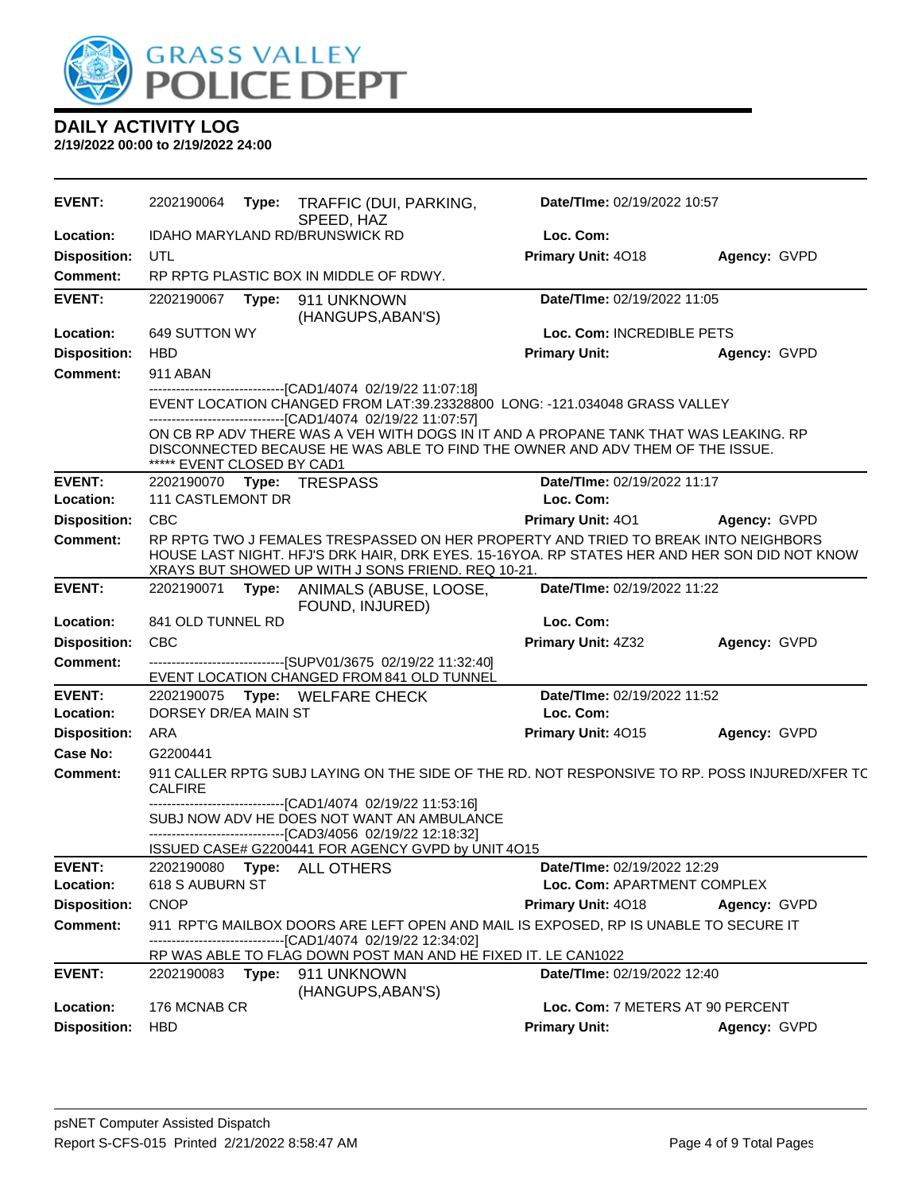

| <b>EVENT:</b>       | 2202190064                    |       | Type: TRAFFIC (DUI, PARKING,<br>SPEED, HAZ                                                                                                                                                                                               | Date/TIme: 02/19/2022 10:57      |              |
|---------------------|-------------------------------|-------|------------------------------------------------------------------------------------------------------------------------------------------------------------------------------------------------------------------------------------------|----------------------------------|--------------|
| Location:           |                               |       | <b>IDAHO MARYLAND RD/BRUNSWICK RD</b>                                                                                                                                                                                                    | Loc. Com:                        |              |
| <b>Disposition:</b> | UTL                           |       |                                                                                                                                                                                                                                          | Primary Unit: 4018               | Agency: GVPD |
| <b>Comment:</b>     |                               |       | RP RPTG PLASTIC BOX IN MIDDLE OF RDWY.                                                                                                                                                                                                   |                                  |              |
| <b>EVENT:</b>       | 2202190067                    | Type: | 911 UNKNOWN<br>(HANGUPS, ABAN'S)                                                                                                                                                                                                         | Date/TIme: 02/19/2022 11:05      |              |
| Location:           | 649 SUTTON WY                 |       |                                                                                                                                                                                                                                          | Loc. Com: INCREDIBLE PETS        |              |
| <b>Disposition:</b> | <b>HBD</b>                    |       |                                                                                                                                                                                                                                          | <b>Primary Unit:</b>             | Agency: GVPD |
| <b>Comment:</b>     | <b>911 ABAN</b>               |       |                                                                                                                                                                                                                                          |                                  |              |
|                     |                               |       | -------------------[CAD1/4074_02/19/22 11:07:18]<br>EVENT LOCATION CHANGED FROM LAT:39.23328800 LONG: -121.034048 GRASS VALLEY<br>-------------------------------[CAD1/4074 02/19/22 11:07:57]                                           |                                  |              |
|                     | ***** EVENT CLOSED BY CAD1    |       | ON CB RP ADV THERE WAS A VEH WITH DOGS IN IT AND A PROPANE TANK THAT WAS LEAKING. RP<br>DISCONNECTED BECAUSE HE WAS ABLE TO FIND THE OWNER AND ADV THEM OF THE ISSUE.                                                                    |                                  |              |
| <b>EVENT:</b>       | 2202190070 Type: TRESPASS     |       |                                                                                                                                                                                                                                          | Date/TIme: 02/19/2022 11:17      |              |
| Location:           | 111 CASTLEMONT DR             |       |                                                                                                                                                                                                                                          | Loc. Com:                        |              |
| <b>Disposition:</b> | <b>CBC</b>                    |       |                                                                                                                                                                                                                                          | <b>Primary Unit: 401</b>         | Agency: GVPD |
| Comment:            |                               |       | RP RPTG TWO J FEMALES TRESPASSED ON HER PROPERTY AND TRIED TO BREAK INTO NEIGHBORS<br>HOUSE LAST NIGHT. HFJ'S DRK HAIR, DRK EYES. 15-16YOA. RP STATES HER AND HER SON DID NOT KNOW<br>XRAYS BUT SHOWED UP WITH J SONS FRIEND. REQ 10-21. |                                  |              |
| <b>EVENT:</b>       |                               |       | 2202190071 Type: ANIMALS (ABUSE, LOOSE,<br>FOUND, INJURED)                                                                                                                                                                               | Date/TIme: 02/19/2022 11:22      |              |
| Location:           | 841 OLD TUNNEL RD             |       |                                                                                                                                                                                                                                          | Loc. Com:                        |              |
| <b>Disposition:</b> | <b>CBC</b>                    |       |                                                                                                                                                                                                                                          | Primary Unit: 4Z32               | Agency: GVPD |
| <b>Comment:</b>     |                               |       | -------------------------------[SUPV01/3675 02/19/22 11:32:40]<br>EVENT LOCATION CHANGED FROM 841 OLD TUNNEL                                                                                                                             |                                  |              |
| <b>EVENT:</b>       |                               |       | 2202190075 Type: WELFARE CHECK                                                                                                                                                                                                           | Date/TIme: 02/19/2022 11:52      |              |
| Location:           | DORSEY DR/EA MAIN ST          |       |                                                                                                                                                                                                                                          | Loc. Com:                        |              |
| <b>Disposition:</b> | ARA                           |       |                                                                                                                                                                                                                                          | Primary Unit: 4015               | Agency: GVPD |
| Case No:            | G2200441                      |       |                                                                                                                                                                                                                                          |                                  |              |
| <b>Comment:</b>     | <b>CALFIRE</b>                |       | 911 CALLER RPTG SUBJ LAYING ON THE SIDE OF THE RD. NOT RESPONSIVE TO RP. POSS INJURED/XFER TC<br>-------------------------[CAD1/4074_02/19/22 11:53:16]                                                                                  |                                  |              |
|                     |                               |       | SUBJ NOW ADV HE DOES NOT WANT AN AMBULANCE                                                                                                                                                                                               |                                  |              |
|                     |                               |       | -------------------------------[CAD3/4056 02/19/22 12:18:32]                                                                                                                                                                             |                                  |              |
| <b>EVENT:</b>       |                               |       | ISSUED CASE# G2200441 FOR AGENCY GVPD by UNIT 4O15                                                                                                                                                                                       | Date/TIme: 02/19/2022 12:29      |              |
| Location:           | 2202190080<br>618 S AUBURN ST | Type: | <b>ALL OTHERS</b>                                                                                                                                                                                                                        | Loc. Com: APARTMENT COMPLEX      |              |
| <b>Disposition:</b> | <b>CNOP</b>                   |       |                                                                                                                                                                                                                                          | Primary Unit: 4018               | Agency: GVPD |
| <b>Comment:</b>     |                               |       | 911 RPT'G MAILBOX DOORS ARE LEFT OPEN AND MAIL IS EXPOSED, RP IS UNABLE TO SECURE IT                                                                                                                                                     |                                  |              |
|                     |                               |       | ----------------[CAD1/4074_02/19/22 12:34:02]                                                                                                                                                                                            |                                  |              |
|                     |                               |       | RP WAS ABLE TO FLAG DOWN POST MAN AND HE FIXED IT. LE CAN1022                                                                                                                                                                            |                                  |              |
| <b>EVENT:</b>       | 2202190083                    | Type: | 911 UNKNOWN                                                                                                                                                                                                                              | Date/TIme: 02/19/2022 12:40      |              |
| Location:           | 176 MCNAB CR                  |       | (HANGUPS, ABAN'S)                                                                                                                                                                                                                        | Loc. Com: 7 METERS AT 90 PERCENT |              |
| <b>Disposition:</b> | <b>HBD</b>                    |       |                                                                                                                                                                                                                                          | <b>Primary Unit:</b>             | Agency: GVPD |
|                     |                               |       |                                                                                                                                                                                                                                          |                                  |              |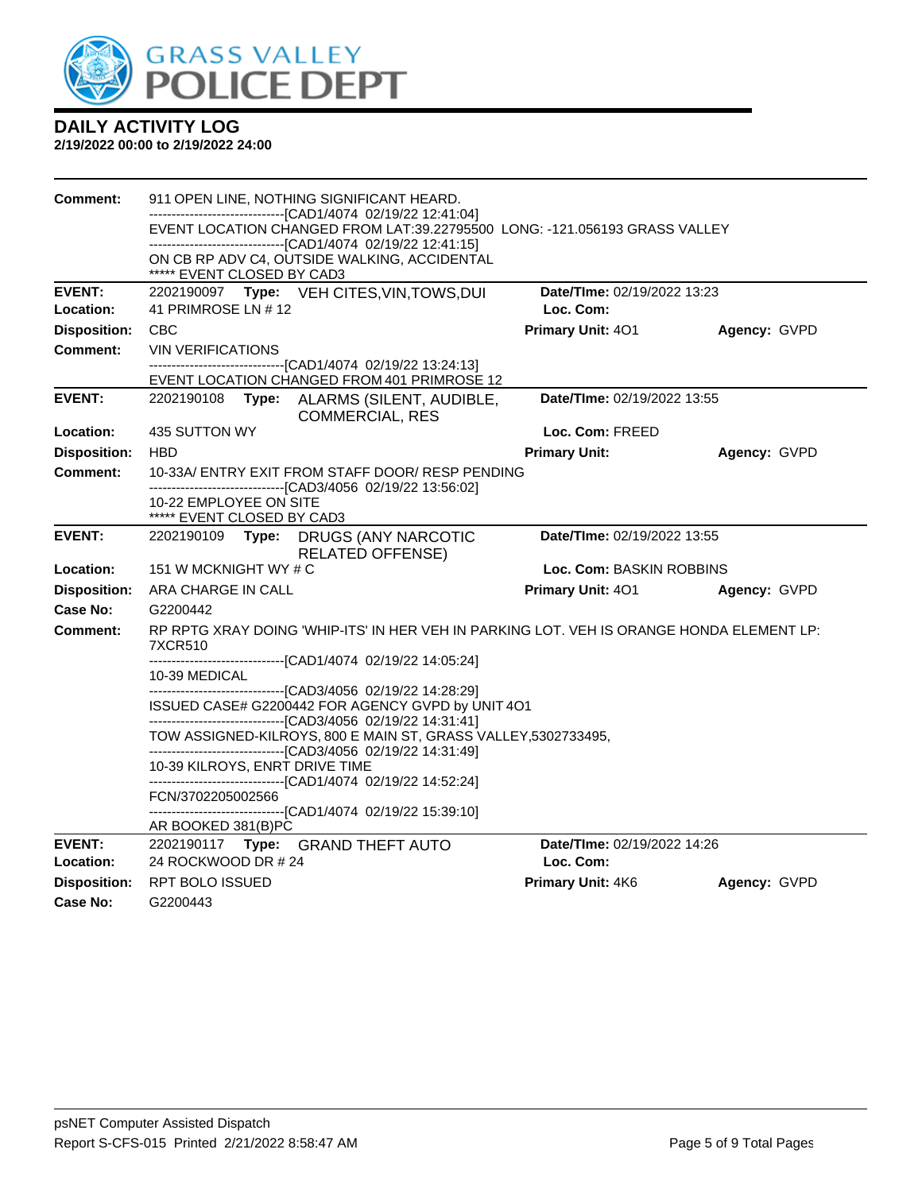

| Comment:            |                                                                                                   |  | 911 OPEN LINE, NOTHING SIGNIFICANT HEARD.                                                                                                 |                             |              |  |
|---------------------|---------------------------------------------------------------------------------------------------|--|-------------------------------------------------------------------------------------------------------------------------------------------|-----------------------------|--------------|--|
|                     |                                                                                                   |  | ------------------------------[CAD1/4074_02/19/22 12:41:04]<br>EVENT LOCATION CHANGED FROM LAT:39.22795500 LONG: -121.056193 GRASS VALLEY |                             |              |  |
|                     |                                                                                                   |  | -------------------------------[CAD1/4074 02/19/22 12:41:15]                                                                              |                             |              |  |
|                     | ***** EVENT CLOSED BY CAD3                                                                        |  | ON CB RP ADV C4, OUTSIDE WALKING, ACCIDENTAL                                                                                              |                             |              |  |
| <b>EVENT:</b>       | 2202190097 Type: VEH CITES, VIN, TOWS, DUI                                                        |  |                                                                                                                                           | Date/TIme: 02/19/2022 13:23 |              |  |
| Location:           | 41 PRIMROSE LN # 12                                                                               |  |                                                                                                                                           | Loc. Com:                   |              |  |
| <b>Disposition:</b> | <b>CBC</b>                                                                                        |  |                                                                                                                                           | Primary Unit: 401           | Agency: GVPD |  |
| <b>Comment:</b>     | <b>VIN VERIFICATIONS</b>                                                                          |  |                                                                                                                                           |                             |              |  |
|                     |                                                                                                   |  | -------------------------[CAD1/4074_02/19/22 13:24:13]<br>EVENT LOCATION CHANGED FROM 401 PRIMROSE 12                                     |                             |              |  |
| <b>EVENT:</b>       | 2202190108<br>Type: ALARMS (SILENT, AUDIBLE,<br><b>COMMERCIAL, RES</b>                            |  |                                                                                                                                           | Date/TIme: 02/19/2022 13:55 |              |  |
| <b>Location:</b>    | 435 SUTTON WY                                                                                     |  |                                                                                                                                           | Loc. Com: FREED             |              |  |
| <b>Disposition:</b> | <b>HBD</b>                                                                                        |  |                                                                                                                                           | <b>Primary Unit:</b>        | Agency: GVPD |  |
| Comment:            |                                                                                                   |  | 10-33A/ ENTRY EXIT FROM STAFF DOOR/ RESP PENDING<br>-------------------------------[CAD3/4056 02/19/22 13:56:02]                          |                             |              |  |
|                     | 10-22 EMPLOYEE ON SITE<br>***** EVENT CLOSED BY CAD3                                              |  |                                                                                                                                           |                             |              |  |
| <b>EVENT:</b>       | Date/TIme: 02/19/2022 13:55<br>2202190109<br>Type: DRUGS (ANY NARCOTIC<br><b>RELATED OFFENSE)</b> |  |                                                                                                                                           |                             |              |  |
| Location:           | 151 W MCKNIGHT WY # C                                                                             |  |                                                                                                                                           | Loc. Com: BASKIN ROBBINS    |              |  |
| <b>Disposition:</b> | ARA CHARGE IN CALL                                                                                |  |                                                                                                                                           | <b>Primary Unit: 401</b>    | Agency: GVPD |  |
| Case No:            | G2200442                                                                                          |  |                                                                                                                                           |                             |              |  |
| Comment:            | 7XCR510                                                                                           |  | RP RPTG XRAY DOING 'WHIP-ITS' IN HER VEH IN PARKING LOT. VEH IS ORANGE HONDA ELEMENT LP:                                                  |                             |              |  |
|                     |                                                                                                   |  |                                                                                                                                           |                             |              |  |
|                     | 10-39 MEDICAL                                                                                     |  | ---------------------------------[CAD3/4056 02/19/22 14:28:29]                                                                            |                             |              |  |
|                     |                                                                                                   |  | ISSUED CASE# G2200442 FOR AGENCY GVPD by UNIT 4O1                                                                                         |                             |              |  |
|                     |                                                                                                   |  | -------------------------------[CAD3/4056 02/19/22 14:31:41]<br>TOW ASSIGNED-KILROYS, 800 E MAIN ST, GRASS VALLEY, 5302733495,            |                             |              |  |
|                     |                                                                                                   |  | -------------------------------[CAD3/4056 02/19/22 14:31:49]                                                                              |                             |              |  |
|                     | 10-39 KILROYS, ENRT DRIVE TIME                                                                    |  |                                                                                                                                           |                             |              |  |
|                     | FCN/3702205002566                                                                                 |  | -------------------------------[CAD1/4074 02/19/22 14:52:24]                                                                              |                             |              |  |
|                     | AR BOOKED 381(B)PC                                                                                |  | -------------------------[CAD1/4074_02/19/22 15:39:10]                                                                                    |                             |              |  |
| <b>EVENT:</b>       |                                                                                                   |  | 2202190117 Type: GRAND THEFT AUTO                                                                                                         | Date/TIme: 02/19/2022 14:26 |              |  |
| Location:           | 24 ROCKWOOD DR # 24                                                                               |  |                                                                                                                                           | Loc. Com:                   |              |  |
| <b>Disposition:</b> | <b>RPT BOLO ISSUED</b>                                                                            |  |                                                                                                                                           | Primary Unit: 4K6           | Agency: GVPD |  |
| Case No:            | G2200443                                                                                          |  |                                                                                                                                           |                             |              |  |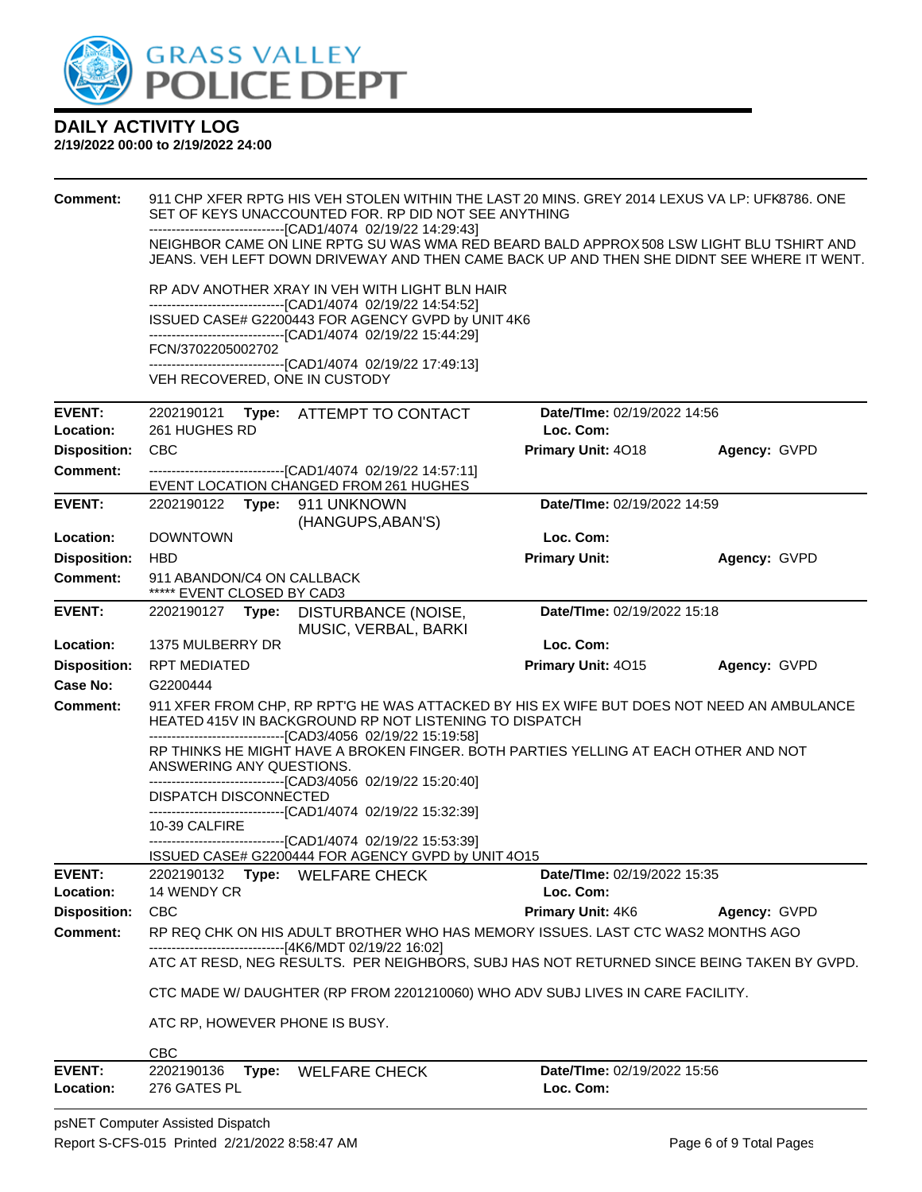

| <b>Comment:</b>            | 911 CHP XFER RPTG HIS VEH STOLEN WITHIN THE LAST 20 MINS. GREY 2014 LEXUS VA LP: UFK8786. ONE<br>SET OF KEYS UNACCOUNTED FOR. RP DID NOT SEE ANYTHING<br>------------------------------[CAD1/4074 02/19/22 14:29:43]                              |                                                        |                                                                                                                                                                                       |              |  |  |  |  |
|----------------------------|---------------------------------------------------------------------------------------------------------------------------------------------------------------------------------------------------------------------------------------------------|--------------------------------------------------------|---------------------------------------------------------------------------------------------------------------------------------------------------------------------------------------|--------------|--|--|--|--|
|                            |                                                                                                                                                                                                                                                   |                                                        | NEIGHBOR CAME ON LINE RPTG SU WAS WMA RED BEARD BALD APPROX 508 LSW LIGHT BLU TSHIRT AND<br>JEANS. VEH LEFT DOWN DRIVEWAY AND THEN CAME BACK UP AND THEN SHE DIDNT SEE WHERE IT WENT. |              |  |  |  |  |
|                            | RP ADV ANOTHER XRAY IN VEH WITH LIGHT BLN HAIR                                                                                                                                                                                                    |                                                        |                                                                                                                                                                                       |              |  |  |  |  |
|                            | -------------------------------[CAD1/4074 02/19/22 14:54:52]                                                                                                                                                                                      | ISSUED CASE# G2200443 FOR AGENCY GVPD by UNIT 4K6      |                                                                                                                                                                                       |              |  |  |  |  |
|                            | -------------------------------[CAD1/4074 02/19/22 15:44:29]                                                                                                                                                                                      |                                                        |                                                                                                                                                                                       |              |  |  |  |  |
|                            | FCN/3702205002702<br>-------------------------------[CAD1/4074 02/19/22 17:49:13]                                                                                                                                                                 |                                                        |                                                                                                                                                                                       |              |  |  |  |  |
|                            | VEH RECOVERED, ONE IN CUSTODY                                                                                                                                                                                                                     |                                                        |                                                                                                                                                                                       |              |  |  |  |  |
| <b>EVENT:</b>              | 2202190121 Type: ATTEMPT TO CONTACT                                                                                                                                                                                                               |                                                        | Date/TIme: 02/19/2022 14:56                                                                                                                                                           |              |  |  |  |  |
| Location:                  | 261 HUGHES RD                                                                                                                                                                                                                                     |                                                        | Loc. Com:                                                                                                                                                                             |              |  |  |  |  |
| <b>Disposition:</b>        | <b>CBC</b>                                                                                                                                                                                                                                        |                                                        | Primary Unit: 4018                                                                                                                                                                    | Agency: GVPD |  |  |  |  |
| <b>Comment:</b>            | -------------------------------[CAD1/4074 02/19/22 14:57:11]<br>EVENT LOCATION CHANGED FROM 261 HUGHES                                                                                                                                            |                                                        |                                                                                                                                                                                       |              |  |  |  |  |
| <b>EVENT:</b>              | Date/TIme: 02/19/2022 14:59<br>2202190122 Type: 911 UNKNOWN<br>(HANGUPS, ABAN'S)                                                                                                                                                                  |                                                        |                                                                                                                                                                                       |              |  |  |  |  |
| Location:                  | <b>DOWNTOWN</b>                                                                                                                                                                                                                                   |                                                        | Loc. Com:                                                                                                                                                                             |              |  |  |  |  |
| <b>Disposition:</b>        | <b>HBD</b>                                                                                                                                                                                                                                        |                                                        | <b>Primary Unit:</b>                                                                                                                                                                  | Agency: GVPD |  |  |  |  |
| <b>Comment:</b>            | 911 ABANDON/C4 ON CALLBACK<br>***** EVENT CLOSED BY CAD3                                                                                                                                                                                          |                                                        |                                                                                                                                                                                       |              |  |  |  |  |
| <b>EVENT:</b>              | Date/TIme: 02/19/2022 15:18<br>2202190127 Type: DISTURBANCE (NOISE,<br>MUSIC, VERBAL, BARKI                                                                                                                                                       |                                                        |                                                                                                                                                                                       |              |  |  |  |  |
| Location:                  | 1375 MULBERRY DR                                                                                                                                                                                                                                  |                                                        | Loc. Com:                                                                                                                                                                             |              |  |  |  |  |
| <b>Disposition:</b>        | <b>RPT MEDIATED</b>                                                                                                                                                                                                                               |                                                        | Primary Unit: 4015                                                                                                                                                                    | Agency: GVPD |  |  |  |  |
| Case No:                   | G2200444                                                                                                                                                                                                                                          |                                                        |                                                                                                                                                                                       |              |  |  |  |  |
| <b>Comment:</b>            |                                                                                                                                                                                                                                                   | HEATED 415V IN BACKGROUND RP NOT LISTENING TO DISPATCH | 911 XFER FROM CHP, RP RPT'G HE WAS ATTACKED BY HIS EX WIFE BUT DOES NOT NEED AN AMBULANCE                                                                                             |              |  |  |  |  |
|                            | ---------------------------------[CAD3/4056 02/19/22 15:19:58]<br>RP THINKS HE MIGHT HAVE A BROKEN FINGER. BOTH PARTIES YELLING AT EACH OTHER AND NOT<br>ANSWERING ANY QUESTIONS.<br>-------------------------------[CAD3/4056 02/19/22 15:20:40] |                                                        |                                                                                                                                                                                       |              |  |  |  |  |
|                            | DISPATCH DISCONNECTED<br>-------------------------------[CAD1/4074 02/19/22 15:32:39]                                                                                                                                                             |                                                        |                                                                                                                                                                                       |              |  |  |  |  |
|                            | 10-39 CALFIRE                                                                                                                                                                                                                                     |                                                        |                                                                                                                                                                                       |              |  |  |  |  |
|                            | --------------------------------[CAD1/4074 02/19/22 15:53:39]                                                                                                                                                                                     | ISSUED CASE# G2200444 FOR AGENCY GVPD by UNIT 4015     |                                                                                                                                                                                       |              |  |  |  |  |
| EVENT:                     | 2202190132 Type: WELFARE CHECK                                                                                                                                                                                                                    |                                                        | Date/TIme: 02/19/2022 15:35                                                                                                                                                           |              |  |  |  |  |
| Location:                  | 14 WENDY CR                                                                                                                                                                                                                                       |                                                        | Loc. Com:                                                                                                                                                                             |              |  |  |  |  |
| <b>Disposition:</b>        | <b>CBC</b>                                                                                                                                                                                                                                        |                                                        | Primary Unit: 4K6                                                                                                                                                                     | Agency: GVPD |  |  |  |  |
| <b>Comment:</b>            | ------------------------[4K6/MDT 02/19/22 16:02]                                                                                                                                                                                                  |                                                        | RP REQ CHK ON HIS ADULT BROTHER WHO HAS MEMORY ISSUES. LAST CTC WAS2 MONTHS AGO                                                                                                       |              |  |  |  |  |
|                            |                                                                                                                                                                                                                                                   |                                                        | ATC AT RESD, NEG RESULTS. PER NEIGHBORS, SUBJ HAS NOT RETURNED SINCE BEING TAKEN BY GVPD.                                                                                             |              |  |  |  |  |
|                            |                                                                                                                                                                                                                                                   |                                                        | CTC MADE W/ DAUGHTER (RP FROM 2201210060) WHO ADV SUBJ LIVES IN CARE FACILITY.                                                                                                        |              |  |  |  |  |
|                            | ATC RP, HOWEVER PHONE IS BUSY.                                                                                                                                                                                                                    |                                                        |                                                                                                                                                                                       |              |  |  |  |  |
|                            | <b>CBC</b>                                                                                                                                                                                                                                        |                                                        |                                                                                                                                                                                       |              |  |  |  |  |
| <b>EVENT:</b><br>Location: | 2202190136<br>Type:<br>276 GATES PL                                                                                                                                                                                                               | <b>WELFARE CHECK</b>                                   | <b>Date/TIme: 02/19/2022 15:56</b><br>Loc. Com:                                                                                                                                       |              |  |  |  |  |
|                            |                                                                                                                                                                                                                                                   |                                                        |                                                                                                                                                                                       |              |  |  |  |  |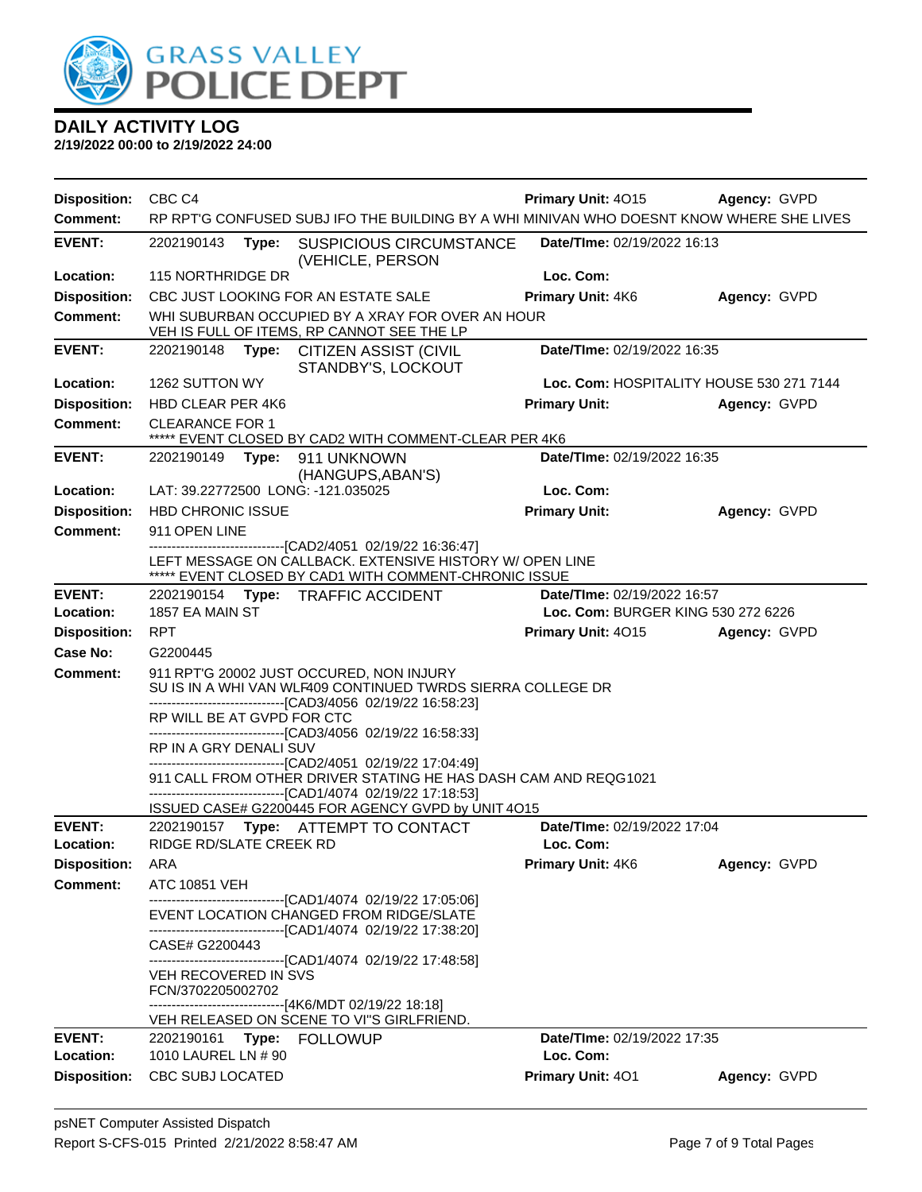

| <b>Disposition:</b> | CBC <sub>C4</sub>          |       |                                                                                                                                                                                                                                                       | <b>Primary Unit: 4015</b><br>Agency: GVPD |              |  |
|---------------------|----------------------------|-------|-------------------------------------------------------------------------------------------------------------------------------------------------------------------------------------------------------------------------------------------------------|-------------------------------------------|--------------|--|
| <b>Comment:</b>     |                            |       | RP RPT'G CONFUSED SUBJ IFO THE BUILDING BY A WHI MINIVAN WHO DOESNT KNOW WHERE SHE LIVES                                                                                                                                                              |                                           |              |  |
| <b>EVENT:</b>       | 2202190143                 | Type: | <b>SUSPICIOUS CIRCUMSTANCE</b><br>(VEHICLE, PERSON                                                                                                                                                                                                    | <b>Date/Time: 02/19/2022 16:13</b>        |              |  |
| Location:           | <b>115 NORTHRIDGE DR</b>   |       |                                                                                                                                                                                                                                                       | Loc. Com:                                 |              |  |
| <b>Disposition:</b> |                            |       | CBC JUST LOOKING FOR AN ESTATE SALE                                                                                                                                                                                                                   | Primary Unit: 4K6                         | Agency: GVPD |  |
| <b>Comment:</b>     |                            |       | WHI SUBURBAN OCCUPIED BY A XRAY FOR OVER AN HOUR<br>VEH IS FULL OF ITEMS, RP CANNOT SEE THE LP                                                                                                                                                        |                                           |              |  |
| <b>EVENT:</b>       |                            |       | 2202190148 Type: CITIZEN ASSIST (CIVIL<br>STANDBY'S, LOCKOUT                                                                                                                                                                                          | Date/TIme: 02/19/2022 16:35               |              |  |
| Location:           | 1262 SUTTON WY             |       |                                                                                                                                                                                                                                                       | Loc. Com: HOSPITALITY HOUSE 530 271 7144  |              |  |
| <b>Disposition:</b> | <b>HBD CLEAR PER 4K6</b>   |       |                                                                                                                                                                                                                                                       | <b>Primary Unit:</b>                      | Agency: GVPD |  |
| <b>Comment:</b>     | <b>CLEARANCE FOR 1</b>     |       | ***** EVENT CLOSED BY CAD2 WITH COMMENT-CLEAR PER 4K6                                                                                                                                                                                                 |                                           |              |  |
| <b>EVENT:</b>       | 2202190149                 | Type: | 911 UNKNOWN                                                                                                                                                                                                                                           | Date/TIme: 02/19/2022 16:35               |              |  |
|                     |                            |       | (HANGUPS, ABAN'S)                                                                                                                                                                                                                                     |                                           |              |  |
| Location:           |                            |       | LAT: 39.22772500 LONG: -121.035025                                                                                                                                                                                                                    | Loc. Com:                                 |              |  |
| <b>Disposition:</b> | <b>HBD CHRONIC ISSUE</b>   |       |                                                                                                                                                                                                                                                       | <b>Primary Unit:</b>                      | Agency: GVPD |  |
| <b>Comment:</b>     | 911 OPEN LINE              |       |                                                                                                                                                                                                                                                       |                                           |              |  |
|                     |                            |       | --------------------------[CAD2/4051_02/19/22 16:36:47]<br>LEFT MESSAGE ON CALLBACK. EXTENSIVE HISTORY W/ OPEN LINE<br>***** EVENT CLOSED BY CAD1 WITH COMMENT-CHRONIC ISSUE                                                                          |                                           |              |  |
| <b>EVENT:</b>       | 2202190154                 |       | Type: TRAFFIC ACCIDENT                                                                                                                                                                                                                                | Date/TIme: 02/19/2022 16:57               |              |  |
| Location:           | 1857 EA MAIN ST            |       |                                                                                                                                                                                                                                                       | Loc. Com: BURGER KING 530 272 6226        |              |  |
| <b>Disposition:</b> | <b>RPT</b>                 |       |                                                                                                                                                                                                                                                       | Primary Unit: 4015                        | Agency: GVPD |  |
| Case No:            | G2200445                   |       |                                                                                                                                                                                                                                                       |                                           |              |  |
| Comment:            | RP WILL BE AT GVPD FOR CTC |       | 911 RPT'G 20002 JUST OCCURED, NON INJURY<br>SU IS IN A WHI VAN WLF409 CONTINUED TWRDS SIERRA COLLEGE DR<br>-------------------------------[CAD3/4056 02/19/22 16:58:23]<br>---------------------------[CAD3/4056 02/19/22 16:58:33]                   |                                           |              |  |
|                     | RP IN A GRY DENALI SUV     |       | -------------------------------[CAD2/4051_02/19/22 17:04:49]<br>911 CALL FROM OTHER DRIVER STATING HE HAS DASH CAM AND REQG1021<br>-------------------------------[CAD1/4074_02/19/22 17:18:53]<br>ISSUED CASE# G2200445 FOR AGENCY GVPD by UNIT 4O15 |                                           |              |  |
| <b>EVENT:</b>       | 2202190157                 |       | Type: ATTEMPT TO CONTACT                                                                                                                                                                                                                              | Date/TIme: 02/19/2022 17:04               |              |  |
| Location:           | RIDGE RD/SLATE CREEK RD    |       |                                                                                                                                                                                                                                                       | Loc. Com:                                 |              |  |
| <b>Disposition:</b> | ARA                        |       |                                                                                                                                                                                                                                                       | Primary Unit: 4K6                         | Agency: GVPD |  |
| <b>Comment:</b>     | <b>ATC 10851 VEH</b>       |       |                                                                                                                                                                                                                                                       |                                           |              |  |
|                     |                            |       | ------------------------------[CAD1/4074 02/19/22 17:05:06]<br>EVENT LOCATION CHANGED FROM RIDGE/SLATE<br>-------------------------------[CAD1/4074_02/19/22 17:38:20]                                                                                |                                           |              |  |
|                     | CASE# G2200443             |       |                                                                                                                                                                                                                                                       |                                           |              |  |
|                     | VEH RECOVERED IN SVS       |       | --------------------------------[CAD1/4074_02/19/22 17:48:58]                                                                                                                                                                                         |                                           |              |  |
|                     | FCN/3702205002702          |       | ------------------------------[4K6/MDT 02/19/22 18:18]                                                                                                                                                                                                |                                           |              |  |
|                     |                            |       | VEH RELEASED ON SCENE TO VI"S GIRLFRIEND.                                                                                                                                                                                                             |                                           |              |  |
| EVENT:              | 2202190161                 |       | Type: FOLLOWUP                                                                                                                                                                                                                                        | Date/TIme: 02/19/2022 17:35               |              |  |
| Location:           | 1010 LAUREL LN # 90        |       |                                                                                                                                                                                                                                                       | Loc. Com:                                 |              |  |
| <b>Disposition:</b> | CBC SUBJ LOCATED           |       |                                                                                                                                                                                                                                                       | Primary Unit: 401                         | Agency: GVPD |  |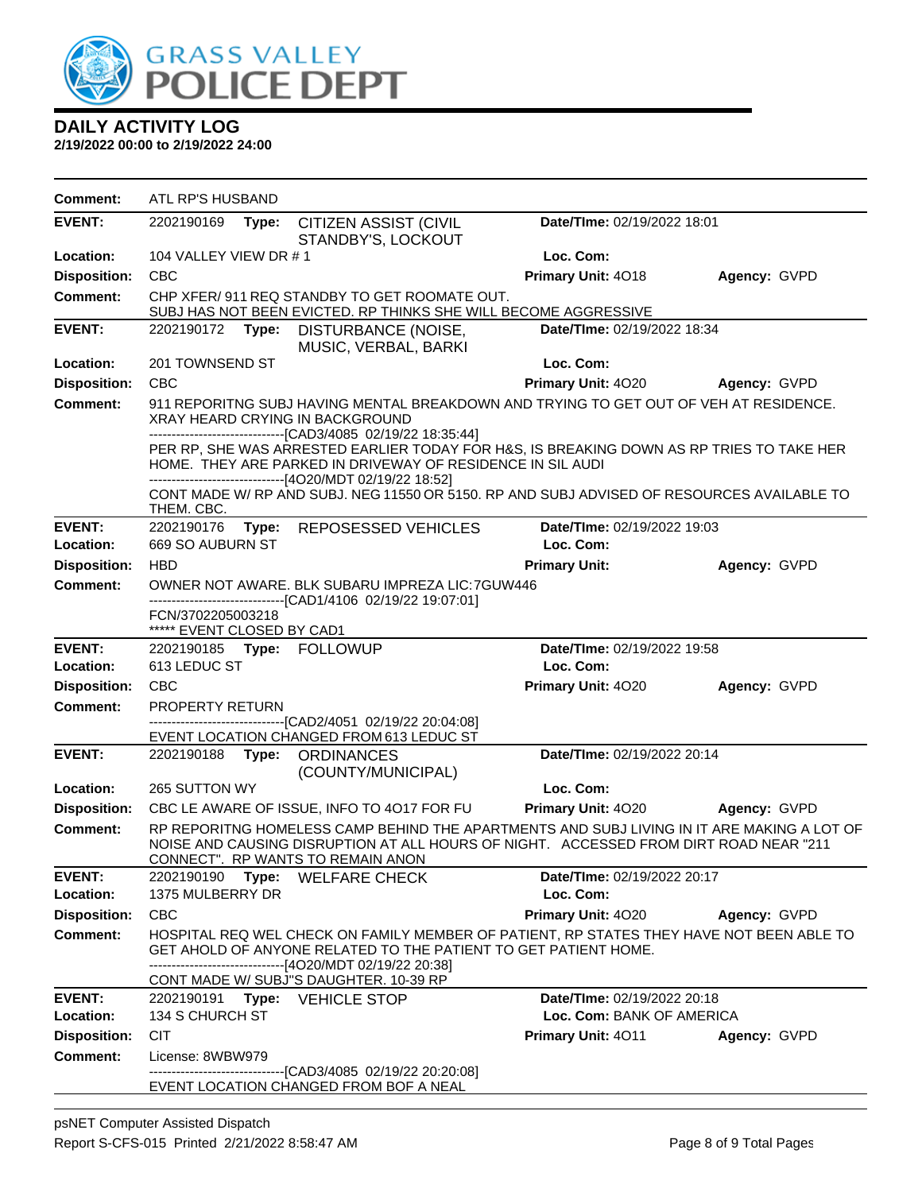

| <b>Comment:</b>     | ATL RP'S HUSBAND                                                                                                                                                                                                         |                                                                                                                                                                                                                                           |                             |              |  |  |
|---------------------|--------------------------------------------------------------------------------------------------------------------------------------------------------------------------------------------------------------------------|-------------------------------------------------------------------------------------------------------------------------------------------------------------------------------------------------------------------------------------------|-----------------------------|--------------|--|--|
| <b>EVENT:</b>       | 2202190169<br>Type:                                                                                                                                                                                                      | <b>CITIZEN ASSIST (CIVIL</b><br>STANDBY'S, LOCKOUT                                                                                                                                                                                        | Date/TIme: 02/19/2022 18:01 |              |  |  |
| Location:           | 104 VALLEY VIEW DR #1                                                                                                                                                                                                    |                                                                                                                                                                                                                                           | Loc. Com:                   |              |  |  |
| <b>Disposition:</b> | <b>CBC</b>                                                                                                                                                                                                               |                                                                                                                                                                                                                                           | Primary Unit: 4018          | Agency: GVPD |  |  |
| <b>Comment:</b>     |                                                                                                                                                                                                                          | CHP XFER/ 911 REQ STANDBY TO GET ROOMATE OUT.<br>SUBJ HAS NOT BEEN EVICTED. RP THINKS SHE WILL BECOME AGGRESSIVE                                                                                                                          |                             |              |  |  |
| <b>EVENT:</b>       | Date/TIme: 02/19/2022 18:34<br>2202190172 Type:<br>DISTURBANCE (NOISE,<br>MUSIC, VERBAL, BARKI                                                                                                                           |                                                                                                                                                                                                                                           |                             |              |  |  |
| Location:           | 201 TOWNSEND ST                                                                                                                                                                                                          |                                                                                                                                                                                                                                           | Loc. Com:                   |              |  |  |
| <b>Disposition:</b> | <b>CBC</b>                                                                                                                                                                                                               |                                                                                                                                                                                                                                           | Primary Unit: 4020          | Agency: GVPD |  |  |
| <b>Comment:</b>     |                                                                                                                                                                                                                          | 911 REPORITNG SUBJ HAVING MENTAL BREAKDOWN AND TRYING TO GET OUT OF VEH AT RESIDENCE.<br>XRAY HEARD CRYING IN BACKGROUND<br>--------------------------------[CAD3/4085 02/19/22 18:35:44]                                                 |                             |              |  |  |
|                     | PER RP, SHE WAS ARRESTED EARLIER TODAY FOR H&S, IS BREAKING DOWN AS RP TRIES TO TAKE HER<br>HOME. THEY ARE PARKED IN DRIVEWAY OF RESIDENCE IN SIL AUDI<br>-------------------------------[4O20/MDT 02/19/22 18:52]       |                                                                                                                                                                                                                                           |                             |              |  |  |
|                     | THEM. CBC.                                                                                                                                                                                                               | CONT MADE W/ RP AND SUBJ. NEG 11550 OR 5150. RP AND SUBJ ADVISED OF RESOURCES AVAILABLE TO                                                                                                                                                |                             |              |  |  |
| <b>EVENT:</b>       | 2202190176 Type:                                                                                                                                                                                                         | REPOSESSED VEHICLES                                                                                                                                                                                                                       | Date/TIme: 02/19/2022 19:03 |              |  |  |
| Location:           | 669 SO AUBURN ST                                                                                                                                                                                                         |                                                                                                                                                                                                                                           | Loc. Com:                   |              |  |  |
| <b>Disposition:</b> | <b>HBD</b>                                                                                                                                                                                                               |                                                                                                                                                                                                                                           | <b>Primary Unit:</b>        | Agency: GVPD |  |  |
| <b>Comment:</b>     |                                                                                                                                                                                                                          | OWNER NOT AWARE. BLK SUBARU IMPREZA LIC: 7GUW446<br>-------------------------------[CAD1/4106 02/19/22 19:07:01]                                                                                                                          |                             |              |  |  |
|                     | FCN/3702205003218<br>***** EVENT CLOSED BY CAD1                                                                                                                                                                          |                                                                                                                                                                                                                                           |                             |              |  |  |
| <b>EVENT:</b>       |                                                                                                                                                                                                                          | 2202190185 Type: FOLLOWUP                                                                                                                                                                                                                 | Date/TIme: 02/19/2022 19:58 |              |  |  |
| Location:           | 613 LEDUC ST                                                                                                                                                                                                             |                                                                                                                                                                                                                                           | Loc. Com:                   |              |  |  |
| <b>Disposition:</b> | CBC                                                                                                                                                                                                                      |                                                                                                                                                                                                                                           | Primary Unit: 4020          | Agency: GVPD |  |  |
| <b>Comment:</b>     | PROPERTY RETURN                                                                                                                                                                                                          |                                                                                                                                                                                                                                           |                             |              |  |  |
|                     |                                                                                                                                                                                                                          | ----------------------[CAD2/4051 02/19/22 20:04:08]<br>EVENT LOCATION CHANGED FROM 613 LEDUC ST                                                                                                                                           |                             |              |  |  |
| <b>EVENT:</b>       | 2202190188 <b>Type:</b>                                                                                                                                                                                                  | <b>ORDINANCES</b><br>(COUNTY/MUNICIPAL)                                                                                                                                                                                                   | Date/TIme: 02/19/2022 20:14 |              |  |  |
| Location:           | 265 SUTTON WY                                                                                                                                                                                                            |                                                                                                                                                                                                                                           | Loc. Com:                   |              |  |  |
| <b>Disposition:</b> |                                                                                                                                                                                                                          | CBC LE AWARE OF ISSUE, INFO TO 4017 FOR FU                                                                                                                                                                                                | Primary Unit: 4020          | Agency: GVPD |  |  |
| <b>Comment:</b>     | RP REPORITNG HOMELESS CAMP BEHIND THE APARTMENTS AND SUBJ LIVING IN IT ARE MAKING A LOT OF<br>NOISE AND CAUSING DISRUPTION AT ALL HOURS OF NIGHT. ACCESSED FROM DIRT ROAD NEAR "211<br>CONNECT". RP WANTS TO REMAIN ANON |                                                                                                                                                                                                                                           |                             |              |  |  |
| <b>EVENT:</b>       | 2202190190                                                                                                                                                                                                               | Type: WELFARE CHECK                                                                                                                                                                                                                       | Date/TIme: 02/19/2022 20:17 |              |  |  |
| Location:           | 1375 MULBERRY DR                                                                                                                                                                                                         |                                                                                                                                                                                                                                           | Loc. Com:                   |              |  |  |
| <b>Disposition:</b> | <b>CBC</b>                                                                                                                                                                                                               |                                                                                                                                                                                                                                           | Primary Unit: 4020          | Agency: GVPD |  |  |
| <b>Comment:</b>     |                                                                                                                                                                                                                          | HOSPITAL REQ WEL CHECK ON FAMILY MEMBER OF PATIENT, RP STATES THEY HAVE NOT BEEN ABLE TO<br>GET AHOLD OF ANYONE RELATED TO THE PATIENT TO GET PATIENT HOME.<br>-------[4O20/MDT 02/19/22 20:38]<br>CONT MADE W/ SUBJ"S DAUGHTER. 10-39 RP |                             |              |  |  |
| <b>EVENT:</b>       |                                                                                                                                                                                                                          | 2202190191 Type: VEHICLE STOP                                                                                                                                                                                                             | Date/TIme: 02/19/2022 20:18 |              |  |  |
| Location:           | 134 S CHURCH ST                                                                                                                                                                                                          |                                                                                                                                                                                                                                           | Loc. Com: BANK OF AMERICA   |              |  |  |
| <b>Disposition:</b> | <b>CIT</b>                                                                                                                                                                                                               |                                                                                                                                                                                                                                           | Primary Unit: 4011          | Agency: GVPD |  |  |
| Comment:            | License: 8WBW979                                                                                                                                                                                                         |                                                                                                                                                                                                                                           |                             |              |  |  |
|                     |                                                                                                                                                                                                                          | ------------------------[CAD3/4085 02/19/22 20:20:08]<br>EVENT LOCATION CHANGED FROM BOF A NEAL                                                                                                                                           |                             |              |  |  |